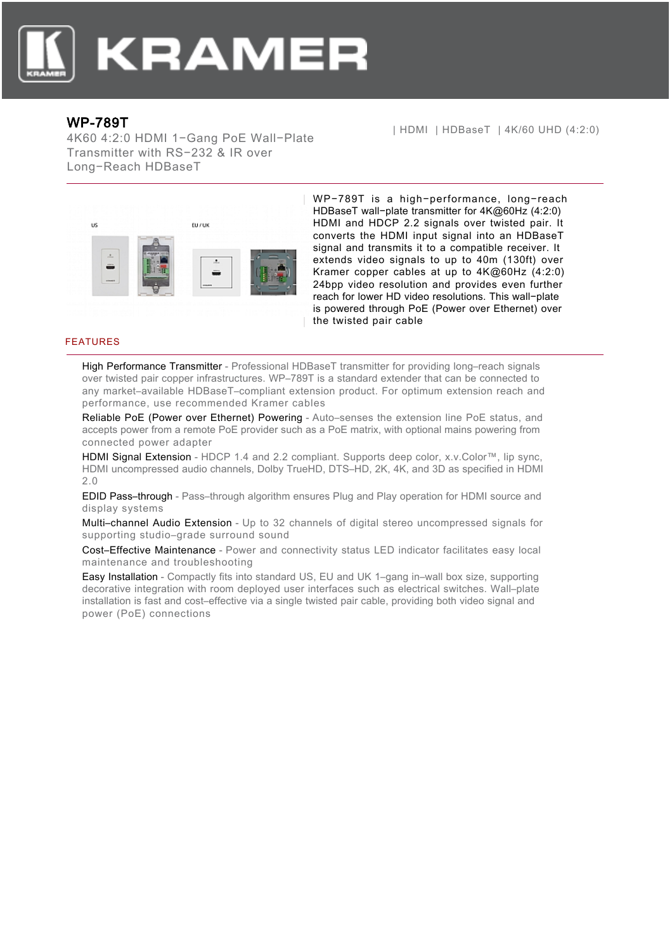

## WP-789T

4K60 4:2:0 HDMI 1−Gang PoE Wall−Plate Transmitter with RS−232 & IR over Long−Reach HDBaseT

| HDMI | HDBaseT | 4K/60 UHD (4:2:0)



WP−789T is a high−performance, long−reach HDBaseT wall−plate transmitter for 4K@60Hz (4:2:0) HDMI and HDCP 2.2 signals over twisted pair. It converts the HDMI input signal into an HDBaseT signal and transmits it to a compatible receiver. It extends video signals to up to 40m (130ft) over Kramer copper cables at up to 4K@60Hz (4:2:0) 24bpp video resolution and provides even further reach for lower HD video resolutions. This wall−plate is powered through PoE (Power over Ethernet) over the twisted pair cable

## FEATURES

High Performance Transmitter - Professional HDBaseT transmitter for providing long–reach signals over twisted pair copper infrastructures. WP–789T is a standard extender that can be connected to any market–available HDBaseT–compliant extension product. For optimum extension reach and performance, use recommended Kramer cables

Reliable PoE (Power over Ethernet) Powering - Auto–senses the extension line PoE status, and accepts power from a remote PoE provider such as a PoE matrix, with optional mains powering from connected power adapter

HDMI Signal Extension - HDCP 1.4 and 2.2 compliant. Supports deep color, x.v.Color™, lip sync, HDMI uncompressed audio channels, Dolby TrueHD, DTS–HD, 2K, 4K, and 3D as specified in HDMI 2.0

EDID Pass–through - Pass–through algorithm ensures Plug and Play operation for HDMI source and display systems

Multi–channel Audio Extension - Up to 32 channels of digital stereo uncompressed signals for supporting studio–grade surround sound

Cost–Effective Maintenance - Power and connectivity status LED indicator facilitates easy local maintenance and troubleshooting

Easy Installation - Compactly fits into standard US, EU and UK 1–gang in–wall box size, supporting decorative integration with room deployed user interfaces such as electrical switches. Wall–plate installation is fast and cost–effective via a single twisted pair cable, providing both video signal and power (PoE) connections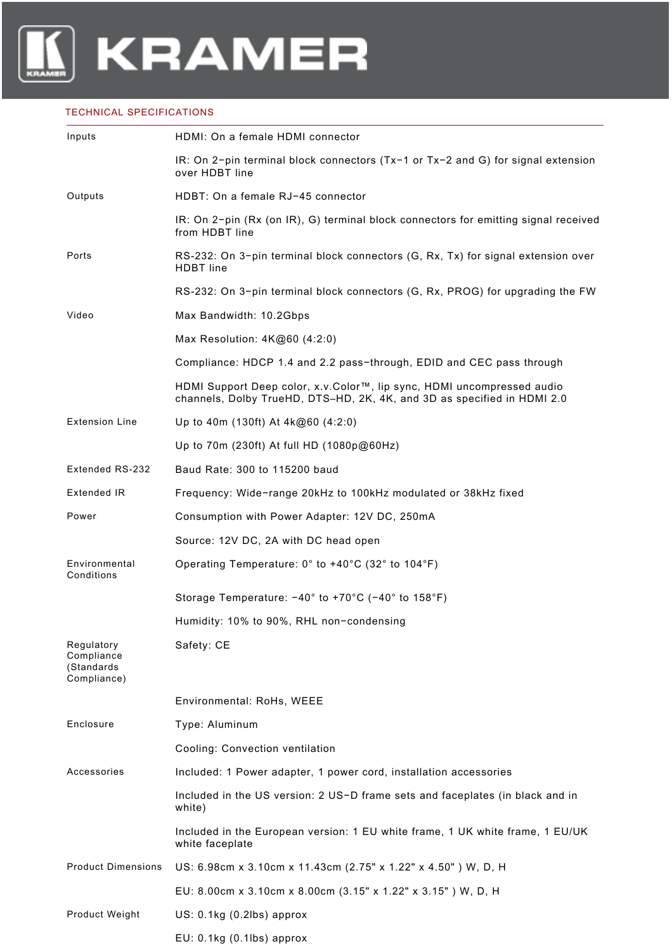## TECHNICAL SPECIFICATIONS

| Inputs                                                | HDMI: On a female HDMI connector                                                                                                                  |
|-------------------------------------------------------|---------------------------------------------------------------------------------------------------------------------------------------------------|
|                                                       | IR: On 2-pin terminal block connectors $(Tx-1)$ or $Tx-2$ and G) for signal extension<br>over HDBT line                                           |
| Outputs                                               | HDBT: On a female RJ-45 connector                                                                                                                 |
|                                                       | IR: On 2-pin (Rx (on IR), G) terminal block connectors for emitting signal received<br>from HDBT line                                             |
| Ports                                                 | RS-232: On 3-pin terminal block connectors (G, Rx, Tx) for signal extension over<br><b>HDBT</b> line                                              |
|                                                       | RS-232: On 3-pin terminal block connectors (G, Rx, PROG) for upgrading the FW                                                                     |
| Video                                                 | Max Bandwidth: 10.2Gbps                                                                                                                           |
|                                                       | Max Resolution: $4K@60$ (4:2:0)                                                                                                                   |
|                                                       | Compliance: HDCP 1.4 and 2.2 pass-through, EDID and CEC pass through                                                                              |
|                                                       | HDMI Support Deep color, x.v.Color™, lip sync, HDMI uncompressed audio<br>channels, Dolby TrueHD, DTS-HD, 2K, 4K, and 3D as specified in HDMI 2.0 |
| <b>Extension Line</b>                                 | Up to 40m (130ft) At $4k@60$ (4:2:0)                                                                                                              |
|                                                       | Up to 70m (230ft) At full HD (1080p@60Hz)                                                                                                         |
| Extended RS-232                                       | Baud Rate: 300 to 115200 baud                                                                                                                     |
| Extended IR                                           | Frequency: Wide-range 20kHz to 100kHz modulated or 38kHz fixed                                                                                    |
| Power                                                 | Consumption with Power Adapter: 12V DC, 250mA                                                                                                     |
|                                                       | Source: 12V DC, 2A with DC head open                                                                                                              |
| Environmental<br>Conditions                           | Operating Temperature: 0° to +40°C (32° to 104°F)                                                                                                 |
|                                                       | Storage Temperature: -40° to +70°C (-40° to 158°F)                                                                                                |
|                                                       | Humidity: 10% to 90%, RHL non-condensing                                                                                                          |
| Regulatory<br>Compliance<br>(Standards<br>Compliance) | Safety: CE                                                                                                                                        |
|                                                       | Environmental: RoHs, WEEE                                                                                                                         |
| Enclosure                                             | Type: Aluminum                                                                                                                                    |
|                                                       | Cooling: Convection ventilation                                                                                                                   |
| Accessories                                           | Included: 1 Power adapter, 1 power cord, installation accessories                                                                                 |
|                                                       | Included in the US version: 2 US-D frame sets and faceplates (in black and in<br>white)                                                           |
|                                                       | Included in the European version: 1 EU white frame, 1 UK white frame, 1 EU/UK<br>white faceplate                                                  |
| <b>Product Dimensions</b>                             | US: 6.98cm x 3.10cm x 11.43cm (2.75" x 1.22" x 4.50") W, D, H                                                                                     |
|                                                       | EU: 8.00cm x 3.10cm x 8.00cm (3.15" x 1.22" x 3.15") W, D, H                                                                                      |
| Product Weight                                        | US: 0.1kg (0.2lbs) approx                                                                                                                         |
|                                                       | EU: 0.1kg (0.1lbs) approx                                                                                                                         |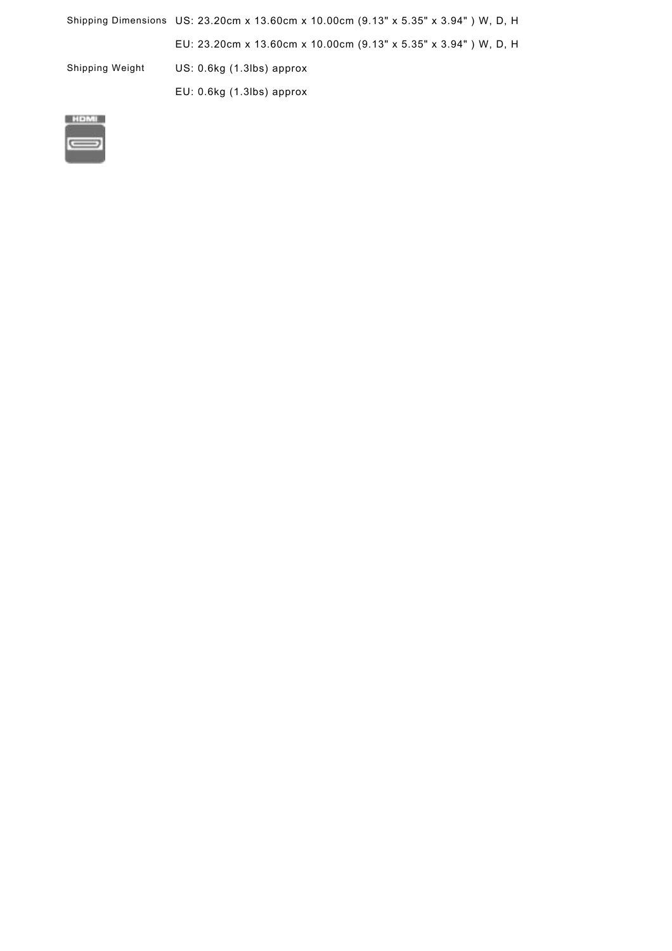|                 | Shipping Dimensions US: 23.20cm x 13.60cm x 10.00cm (9.13" x 5.35" x 3.94") W. D. H. |
|-----------------|--------------------------------------------------------------------------------------|
|                 | EU: 23.20cm x 13.60cm x 10.00cm (9.13" x 5.35" x 3.94") W, D, H                      |
| Shipping Weight | $US: 0.6kg(1.3lbs)$ approx                                                           |
|                 | $EU: 0.6kg(1.3lbs)$ approx                                                           |